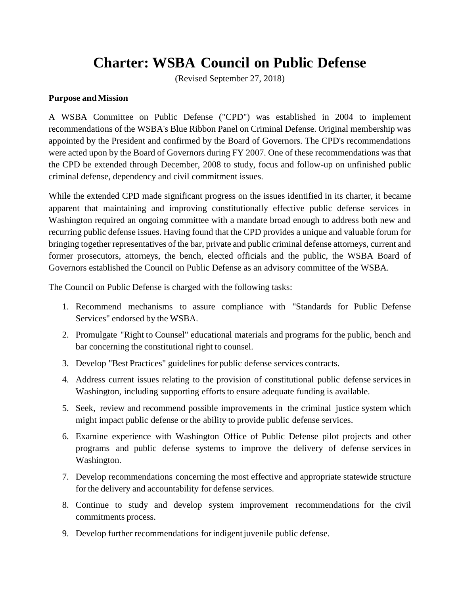# **Charter: WSBA Council on Public Defense**

(Revised September 27, 2018)

#### **Purpose andMission**

A WSBA Committee on Public Defense ("CPD") was established in 2004 to implement recommendations of the WSBA's Blue Ribbon Panel on Criminal Defense. Original membership was appointed by the President and confirmed by the Board of Governors. The CPD's recommendations were acted upon by the Board of Governors during FY 2007. One of these recommendations was that the CPD be extended through December, 2008 to study, focus and follow-up on unfinished public criminal defense, dependency and civil commitment issues.

While the extended CPD made significant progress on the issues identified in its charter, it became apparent that maintaining and improving constitutionally effective public defense services in Washington required an ongoing committee with a mandate broad enough to address both new and recurring public defense issues. Having found that the CPD provides a unique and valuable forum for bringing together representatives of the bar, private and public criminal defense attorneys, current and former prosecutors, attorneys, the bench, elected officials and the public, the WSBA Board of Governors established the Council on Public Defense as an advisory committee of the WSBA.

The Council on Public Defense is charged with the following tasks:

- 1. Recommend mechanisms to assure compliance with "Standards for Public Defense Services" endorsed by the WSBA.
- 2. Promulgate "Right to Counsel" educational materials and programs for the public, bench and bar concerning the constitutional right to counsel.
- 3. Develop "Best Practices" guidelines for public defense services contracts.
- 4. Address current issues relating to the provision of constitutional public defense services in Washington, including supporting efforts to ensure adequate funding is available.
- 5. Seek, review and recommend possible improvements in the criminal justice system which might impact public defense or the ability to provide public defense services.
- 6. Examine experience with Washington Office of Public Defense pilot projects and other programs and public defense systems to improve the delivery of defense services in Washington.
- 7. Develop recommendations concerning the most effective and appropriate statewide structure for the delivery and accountability for defense services.
- 8. Continue to study and develop system improvement recommendations for the civil commitments process.
- 9. Develop further recommendations for indigent juvenile public defense.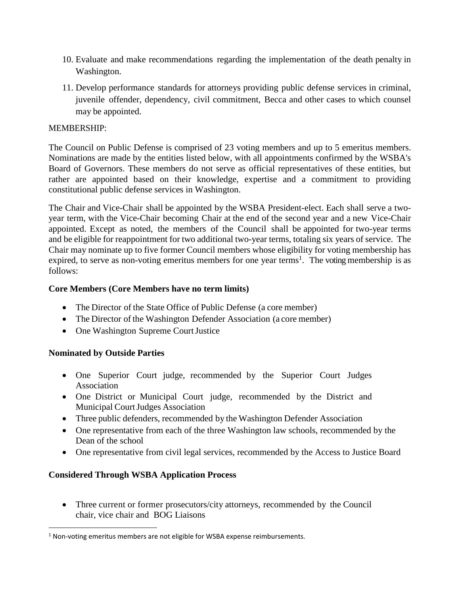- 10. Evaluate and make recommendations regarding the implementation of the death penalty in Washington.
- 11. Develop performance standards for attorneys providing public defense services in criminal, juvenile offender, dependency, civil commitment, Becca and other cases to which counsel may be appointed.

### MEMBERSHIP:

The Council on Public Defense is comprised of 23 voting members and up to 5 emeritus members. Nominations are made by the entities listed below, with all appointments confirmed by the WSBA's Board of Governors. These members do not serve as official representatives of these entities, but rather are appointed based on their knowledge, expertise and a commitment to providing constitutional public defense services in Washington.

The Chair and Vice-Chair shall be appointed by the WSBA President-elect. Each shall serve a twoyear term, with the Vice-Chair becoming Chair at the end of the second year and a new Vice-Chair appointed. Except as noted, the members of the Council shall be appointed for two-year terms and be eligible for reappointment for two additional two-year terms, totaling six years of service. The Chair may nominate up to five former Council members whose eligibility for voting membership has expired, to serve as non-voting emeritus members for one year terms<sup>1</sup>. The voting membership is as follows:

## **Core Members (Core Members have no term limits)**

- The Director of the State Office of Public Defense (a core member)
- The Director of the Washington Defender Association (a core member)
- One Washington Supreme Court Justice

## **Nominated by Outside Parties**

 $\overline{a}$ 

- One Superior Court judge, recommended by the Superior Court Judges Association
- One District or Municipal Court judge, recommended by the District and Municipal CourtJudges Association
- Three public defenders, recommended by the Washington Defender Association
- One representative from each of the three Washington law schools, recommended by the Dean of the school
- One representative from civil legal services, recommended by the Access to Justice Board

## **Considered Through WSBA Application Process**

• Three current or former prosecutors/city attorneys, recommended by the Council chair, vice chair and BOG Liaisons

<sup>&</sup>lt;sup>1</sup> Non-voting emeritus members are not eligible for WSBA expense reimbursements.